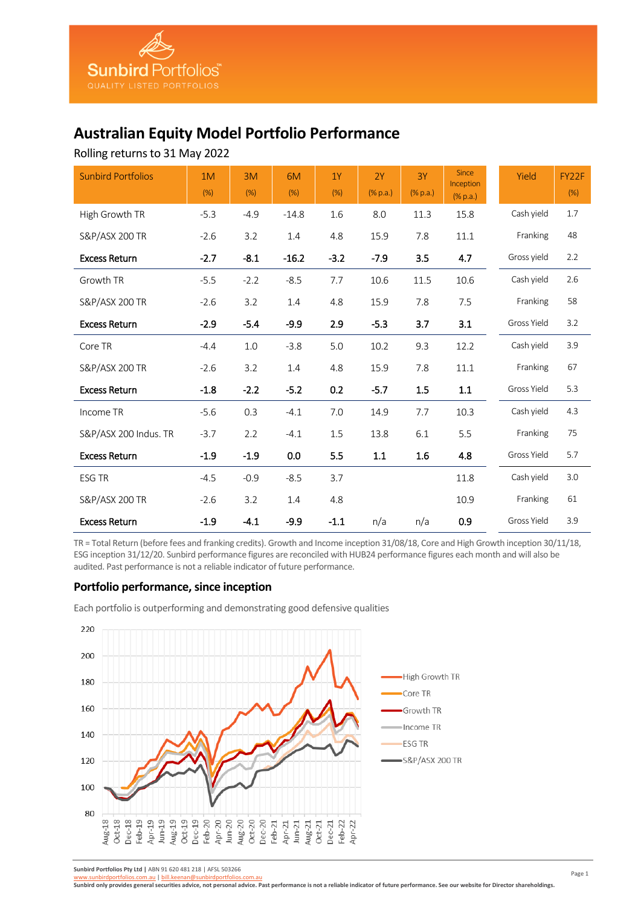# **Australian Equity Model Portfolio Performance**

Rolling returns to 31 May 2022

| <b>Sunbird Portfolios</b> | 1M<br>(% ) | 3M<br>(%) | 6M<br>(%) | 1Y<br>(%) | 2Y<br>(%p.a.) | 3Y<br>$(\%$ p.a.) | <b>Since</b><br>Inception<br>(% p.a.) | Yield       | FY22F<br>(%) |
|---------------------------|------------|-----------|-----------|-----------|---------------|-------------------|---------------------------------------|-------------|--------------|
| High Growth TR            | $-5.3$     | $-4.9$    | $-14.8$   | 1.6       | 8.0           | 11.3              | 15.8                                  | Cash yield  | 1.7          |
| S&P/ASX 200 TR            | $-2.6$     | 3.2       | 1.4       | 4.8       | 15.9          | 7.8               | 11.1                                  | Franking    | 48           |
| <b>Excess Return</b>      | $-2.7$     | $-8.1$    | $-16.2$   | $-3.2$    | $-7.9$        | 3.5               | 4.7                                   | Gross yield | 2.2          |
| Growth TR                 | $-5.5$     | $-2.2$    | $-8.5$    | 7.7       | 10.6          | 11.5              | 10.6                                  | Cash yield  | 2.6          |
| <b>S&amp;P/ASX 200 TR</b> | $-2.6$     | 3.2       | 1.4       | 4.8       | 15.9          | 7.8               | 7.5                                   | Franking    | 58           |
| <b>Excess Return</b>      | $-2.9$     | $-5.4$    | $-9.9$    | 2.9       | $-5.3$        | 3.7               | 3.1                                   | Gross Yield | 3.2          |
| Core TR                   | $-4.4$     | 1.0       | $-3.8$    | 5.0       | 10.2          | 9.3               | 12.2                                  | Cash yield  | 3.9          |
| S&P/ASX 200 TR            | $-2.6$     | 3.2       | 1.4       | 4.8       | 15.9          | 7.8               | 11.1                                  | Franking    | 67           |
| <b>Excess Return</b>      | $-1.8$     | $-2.2$    | $-5.2$    | 0.2       | $-5.7$        | 1.5               | 1.1                                   | Gross Yield | 5.3          |
| Income TR                 | $-5.6$     | 0.3       | $-4.1$    | 7.0       | 14.9          | 7.7               | 10.3                                  | Cash yield  | 4.3          |
| S&P/ASX 200 Indus. TR     | $-3.7$     | 2.2       | $-4.1$    | 1.5       | 13.8          | 6.1               | 5.5                                   | Franking    | 75           |
| <b>Excess Return</b>      | $-1.9$     | $-1.9$    | 0.0       | 5.5       | 1.1           | 1.6               | 4.8                                   | Gross Yield | 5.7          |
| <b>ESG TR</b>             | $-4.5$     | $-0.9$    | $-8.5$    | 3.7       |               |                   | 11.8                                  | Cash yield  | 3.0          |
| S&P/ASX 200 TR            | $-2.6$     | 3.2       | 1.4       | 4.8       |               |                   | 10.9                                  | Franking    | 61           |
| <b>Excess Return</b>      | $-1.9$     | $-4.1$    | $-9.9$    | $-1.1$    | n/a           | n/a               | 0.9                                   | Gross Yield | 3.9          |

TR = Total Return (before fees and franking credits). Growth and Income inception 31/08/18, Core and High Growth inception 30/11/18, ESG inception 31/12/20. Sunbird performance figures are reconciled with HUB24 performance figures each month and will also be audited. Past performance is not a reliable indicator of future performance.

# **Portfolio performance, since inception**

Each portfolio is outperforming and demonstrating good defensive qualities



**Sunbird Portfolios Pty Ltd |** ABN 91 620 481 218 | AFSL 503266

[www.sunbirdportfolios.com.au](http://www.sunbirdportfolios.com.au/) | [bill.keenan@sunbirdportfolios.com.au](mailto:bill.keenan@sunbirdportfolios.com.au)

**Sunbird only provides general securities advice, not personal advice. Past performance is not a reliable indicator of future performance. See our website for Director shareholdings.**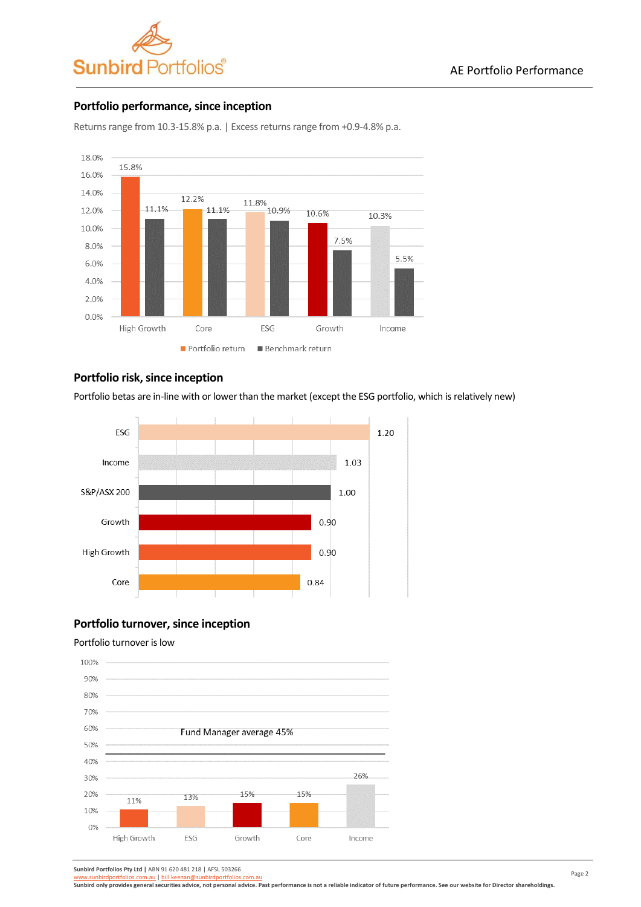

# **Portfolio performance, since inception**



Returns range from 10.3-15.8% p.a. | Excess returns range from +0.9-4.8% p.a.

# **Portfolio risk, since inception**

Portfolio betas are in-line with or lower than the market (except the ESG portfolio, which is relatively new)



# **Portfolio turnover, since inception**

# Portfolio turnover is low



**Sunbird Portfolios Pty Ltd |** ABN 91 620 481 218 | AFSL 503266

birdportfolios.com.au | bill.keenan@sunbirdportfolios.com

**Sunbird only provides general securities advice, not personal advice. Past performance is not a reliable indicator of future performance. See our website for Director shareholdings.**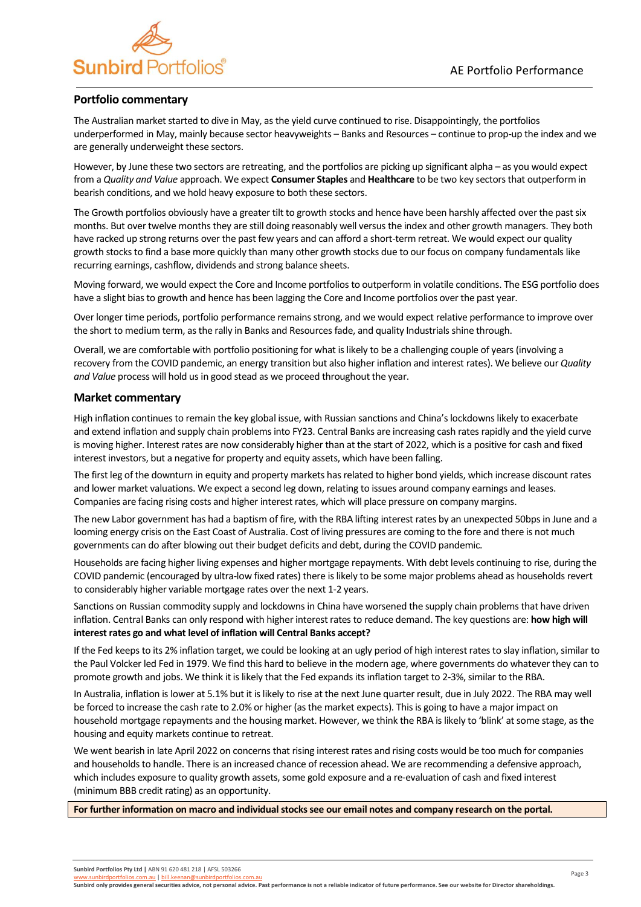

# **Portfolio commentary**

The Australian market started to dive in May, as the yield curve continued to rise. Disappointingly, the portfolios underperformed in May, mainly because sector heavyweights – Banks and Resources – continue to prop-up the index and we are generally underweight these sectors.

However, by June these two sectors are retreating, and the portfolios are picking up significant alpha – as you would expect from a *Quality and Value* approach. We expect **Consumer Staples** and **Healthcare** to be two key sectors that outperform in bearish conditions, and we hold heavy exposure to both these sectors.

The Growth portfolios obviously have a greater tilt to growth stocks and hence have been harshly affected over the past six months. But over twelve months they are still doing reasonably well versus the index and other growth managers. They both have racked up strong returns over the past few years and can afford a short-term retreat. We would expect our quality growth stocks to find a base more quickly than many other growth stocks due to our focus on company fundamentals like recurring earnings, cashflow, dividends and strong balance sheets.

Moving forward, we would expect the Core and Income portfolios to outperform in volatile conditions. The ESG portfolio does have a slight bias to growth and hence has been lagging the Core and Income portfolios over the past year.

Over longer time periods, portfolio performance remains strong, and we would expect relative performance to improve over the short to medium term, as the rally in Banks and Resources fade, and quality Industrials shine through.

Overall, we are comfortable with portfolio positioning for what is likely to be a challenging couple of years (involving a recovery from the COVID pandemic, an energy transition but also higher inflation and interest rates). We believe our *Quality and Value* process will hold us in good stead as we proceed throughout the year.

# **Market commentary**

High inflation continues to remain the key global issue, with Russian sanctions and China's lockdowns likely to exacerbate and extend inflation and supply chain problems into FY23. Central Banks are increasing cash rates rapidly and the yield curve is moving higher. Interest rates are now considerably higher than at the start of 2022, which is a positive for cash and fixed interest investors, but a negative for property and equity assets, which have been falling.

The first leg of the downturn in equity and property markets has related to higher bond yields, which increase discount rates and lower market valuations. We expect a second leg down, relating to issues around company earnings and leases. Companies are facing rising costs and higher interest rates, which will place pressure on company margins.

The new Labor government has had a baptism of fire, with the RBA lifting interest rates by an unexpected 50bps in June and a looming energy crisis on the East Coast of Australia. Cost of living pressures are coming to the fore and there is not much governments can do after blowing out their budget deficits and debt, during the COVID pandemic.

Households are facing higher living expenses and higher mortgage repayments. With debt levels continuing to rise, during the COVID pandemic (encouraged by ultra-low fixed rates) there is likely to be some major problems ahead as households revert to considerably higher variable mortgage rates over the next 1-2 years.

Sanctions on Russian commodity supply and lockdowns in China have worsened the supply chain problems that have driven inflation. Central Banks can only respond with higher interest rates to reduce demand. The key questions are: **how high will interest rates go and what level of inflation will Central Banks accept?**

If the Fed keeps to its 2% inflation target, we could be looking at an ugly period of high interest rates to slay inflation, similar to the Paul Volcker led Fed in 1979. We find this hard to believe in the modern age, where governments do whatever they can to promote growth and jobs. We think it is likely that the Fed expands its inflation target to 2-3%, similar to the RBA.

In Australia, inflation is lower at 5.1% but it is likely to rise at the next June quarter result, due in July 2022. The RBA may well be forced to increase the cash rate to 2.0% or higher (as the market expects). This is going to have a major impact on household mortgage repayments and the housing market. However, we think the RBA is likely to 'blink' at some stage, as the housing and equity markets continue to retreat.

We went bearish in late April 2022 on concerns that rising interest rates and rising costs would be too much for companies and households to handle. There is an increased chance of recession ahead. We are recommending a defensive approach, which includes exposure to quality growth assets, some gold exposure and a re-evaluation of cash and fixed interest (minimum BBB credit rating) as an opportunity.

**For further information on macro and individual stocks see our email notes and company research on the portal.**

hbirdportfolios.com.au | bill.keenan@sunbirdportfolios.com.

**Sunbird only provides general securities advice, not personal advice. Past performance is not a reliable indicator of future performance. See our website for Director shareholdings.**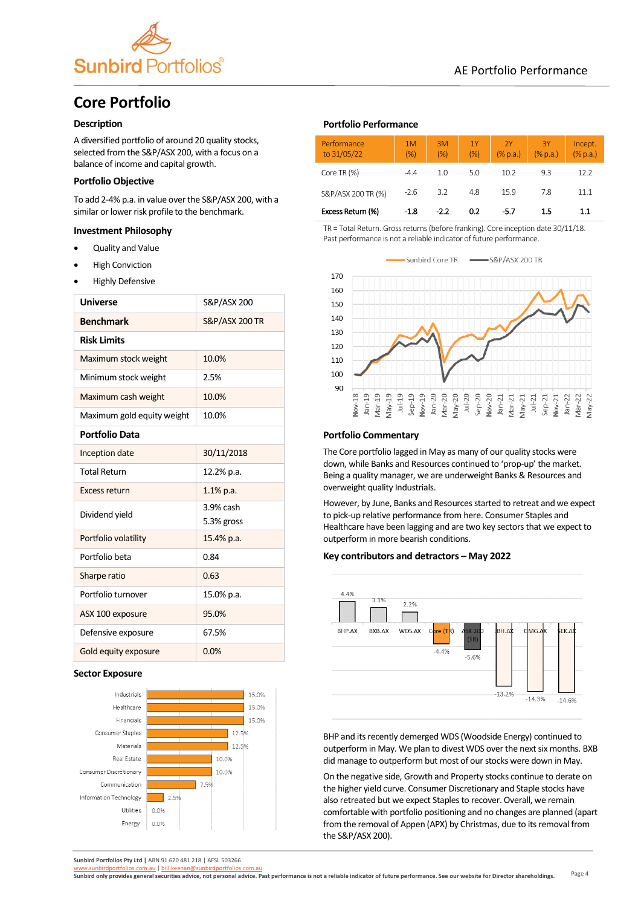

# **Core Portfolio**

### **Description**

A diversified portfolio of around 20 quality stocks, selected from the S&P/ASX 200, with a focus on a balance of income and capital growth.

## **Portfolio Objective**

To add 2-4% p.a. in value over the S&P/ASX 200, with a similar or lower risk profile to the benchmark.

## **Investment Philosophy**

- Quality and Value
- **High Conviction**
- Highly Defensive

| <b>Universe</b>            | S&P/ASX 200               |  |  |
|----------------------------|---------------------------|--|--|
| <b>Benchmark</b>           | <b>S&amp;P/ASX 200 TR</b> |  |  |
| <b>Risk Limits</b>         |                           |  |  |
| Maximum stock weight       | 10.0%                     |  |  |
| Minimum stock weight       | 2.5%                      |  |  |
| Maximum cash weight        | 10.0%                     |  |  |
| Maximum gold equity weight | 10.0%                     |  |  |
| <b>Portfolio Data</b>      |                           |  |  |
| Inception date             | 30/11/2018                |  |  |
| <b>Total Return</b>        | 12.2% p.a.                |  |  |
| Excess return              | 1.1% p.a.                 |  |  |
| Dividend yield             | 3.9% cash                 |  |  |
|                            | 5.3% gross                |  |  |
| Portfolio volatility       | 15.4% p.a.                |  |  |
| Portfolio beta             | 0.84                      |  |  |
| Sharpe ratio               | 0.63                      |  |  |
| Portfolio turnover         | 15.0% p.a.                |  |  |
| ASX 100 exposure           | 95.0%                     |  |  |
| Defensive exposure         | 67.5%                     |  |  |
| Gold equity exposure       | 0.0%                      |  |  |

#### **Sector Exposure**



**Sunbird Portfolios Pty Ltd |** ABN 91 620 481 218 | AFSL 503266

#### **Portfolio Performance**

| Performance<br>to 31/05/22 | 1M<br>(% ) | 3M<br>(% ) | 1Y<br>(% ) | 2Y<br>$(\%$ p.a.) | 3Y<br>$(\%$ p.a.) | Incept.<br>$(%$ $(%$ $)$ $($ $%$ $p.a.)$ |
|----------------------------|------------|------------|------------|-------------------|-------------------|------------------------------------------|
| Core TR (%)                | $-4.4$     | 1.0        | 5.0        | 10.2              | 9.3               | 12.2                                     |
| S&P/ASX 200 TR (%)         | $-2.6$     | 3.2        | 4.8        | 15.9              | 7.8               | 11.1                                     |
| Excess Return (%)          | $-1.8$     | $-2.2$     | 0.2        | -5.7              | 1.5               | 1.1                                      |

TR = Total Return. Gross returns (before franking). Core inception date 30/11/18. Past performance is not a reliable indicator of future performance.



#### **Portfolio Commentary**

The Core portfolio lagged in May as many of our quality stocks were down, while Banks and Resources continued to 'prop-up' the market. Being a quality manager, we are underweight Banks & Resources and overweight quality Industrials.

However, by June, Banks and Resources started to retreat and we expect to pick-up relative performance from here. Consumer Staples and Healthcare have been lagging and are two key sectors that we expect to outperform in more bearish conditions.

### **Key contributors and detractors – May 2022**



BHP and its recently demerged WDS (Woodside Energy) continued to outperform in May. We plan to divest WDS over the next six months. BXB did manage to outperform but most of our stocks were down in May.

On the negative side, Growth and Property stocks continue to derate on the higher yield curve. Consumer Discretionary and Staple stocks have also retreated but we expect Staples to recover. Overall, we remain comfortable with portfolio positioning and no changes are planned (apart from the removal of Appen (APX) by Christmas, due to its removal from the S&P/ASX 200).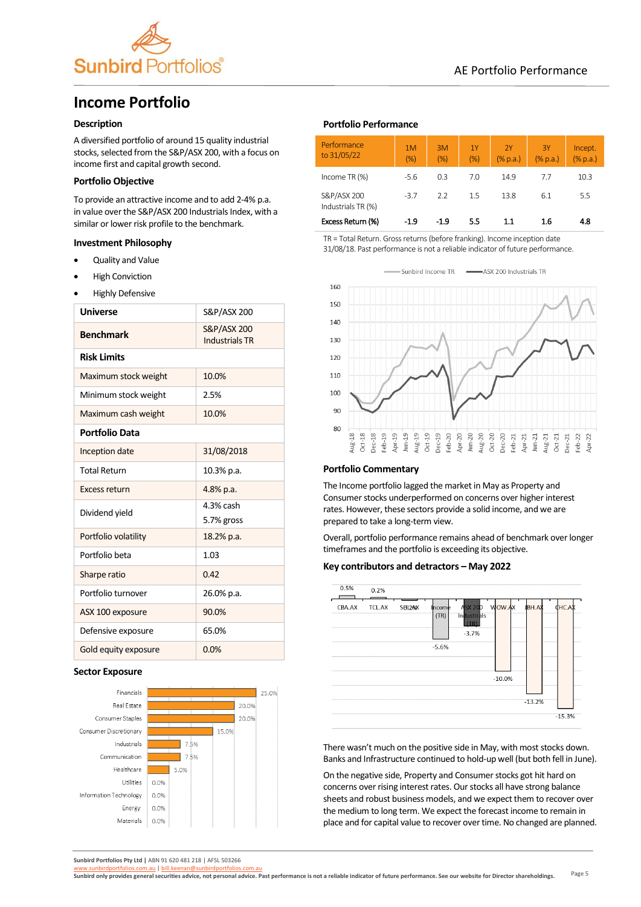

# AE Portfolio Performance

# **Income Portfolio**

# **Description**

A diversified portfolio of around 15 quality industrial stocks, selected from the S&P/ASX 200, with a focus on income first and capital growth second.

## **Portfolio Objective**

To provide an attractive income and to add 2-4% p.a. in value over the S&P/ASX 200 Industrials Index, with a similar or lower risk profile to the benchmark.

# **Investment Philosophy**

- Quality and Value
- **High Conviction**
- Highly Defensive

| <b>Universe</b>       | S&P/ASX 200                          |  |  |
|-----------------------|--------------------------------------|--|--|
| <b>Benchmark</b>      | S&P/ASX 200<br><b>Industrials TR</b> |  |  |
| <b>Risk Limits</b>    |                                      |  |  |
| Maximum stock weight  | 10.0%                                |  |  |
| Minimum stock weight  | 2.5%                                 |  |  |
| Maximum cash weight   | 10.0%                                |  |  |
| <b>Portfolio Data</b> |                                      |  |  |
| Inception date        | 31/08/2018                           |  |  |
| <b>Total Return</b>   | 10.3% p.a.                           |  |  |
| <b>Excess return</b>  | 4.8% p.a.                            |  |  |
| Dividend yield        | 4.3% cash<br>5.7% gross              |  |  |
| Portfolio volatility  | 18.2% p.a.                           |  |  |
| Portfolio beta        | 1.03                                 |  |  |
| Sharpe ratio          | 0.42                                 |  |  |
| Portfolio turnover    | 26.0% p.a.                           |  |  |
| ASX 100 exposure      | 90.0%                                |  |  |
| Defensive exposure    | 65.0%                                |  |  |
| Gold equity exposure  | 0.0%                                 |  |  |

#### **Sector Exposure**



# **Portfolio Performance**

| Performance<br>to 31/05/22        | 1M<br>(% ) | 3M<br>(% ) | 1Y<br>(% ) | 2Y<br>(%p.a.) | 3Y<br>$(\%$ p.a.) | Incept.<br>$(% \mathbb{R}^2)$ (% p.a.) |
|-----------------------------------|------------|------------|------------|---------------|-------------------|----------------------------------------|
| Income TR (%)                     | $-5.6$     | 0.3        | 7.0        | 14.9          | 7.7               | 10.3                                   |
| S&P/ASX 200<br>Industrials TR (%) | $-3.7$     | 22         | 15         | 13.8          | 6.1               | 5.5                                    |
| Excess Return (%)                 | -1.9       | $-1.9$     | 5.5        | 1.1           | 1.6               | 4.8                                    |

TR = Total Return. Gross returns (before franking). Income inception date 31/08/18. Past performance is not a reliable indicator of future performance.



# **Portfolio Commentary**

The Income portfolio lagged the market in May as Property and Consumer stocks underperformed on concerns over higher interest rates. However, these sectors provide a solid income, and we are prepared to take a long-term view.

Overall, portfolio performance remains ahead of benchmark over longer timeframes and the portfolio is exceeding its objective.

#### **Key contributors and detractors – May 2022**



There wasn't much on the positive side in May, with most stocks down. Banks and Infrastructure continued to hold-up well (but both fell in June).

On the negative side, Property and Consumer stocks got hit hard on concerns over rising interest rates. Our stocks all have strong balance sheets and robust business models, and we expect them to recover over the medium to long term. We expect the forecast income to remain in place and for capital value to recover over time. No changed are planned.

**Sunbird Portfolios Pty Ltd |** ABN 91 620 481 218 | AFSL 503266

Page 5 [www.sunbirdportfolios.com.au](http://www.sunbirdportfolios.com.au/) | [bill.keenan@sunbirdportfolios.com.au](mailto:bill.keenan@sunbirdportfolios.com.au)<br>Sunbird only provides general securities advice, not personal advice. Past performance is not a reliable indicator of future performance. See our website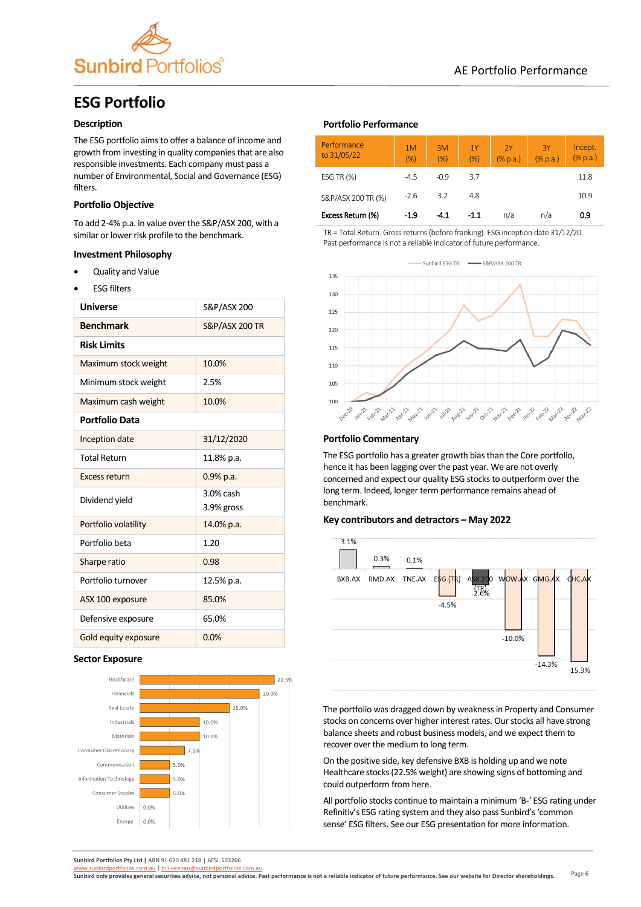

# **ESG Portfolio**

## **Description**

The ESG portfolio aims to offer a balance of income and growth from investing in quality companies that are also responsible investments. Each company must pass a number of Environmental, Social and Governance (ESG) filters.

## **Portfolio Objective**

To add 2-4% p.a. in value over the S&P/ASX 200, with a similar or lower risk profile to the benchmark.

### **Investment Philosophy**

- Quality and Value
- **ESG filters**

| <b>Universe</b>      | S&P/ASX 200               |
|----------------------|---------------------------|
| <b>Benchmark</b>     | <b>S&amp;P/ASX 200 TR</b> |
| <b>Risk Limits</b>   |                           |
| Maximum stock weight | 10.0%                     |
| Minimum stock weight | 2.5%                      |
| Maximum cash weight  | 10.0%                     |
| Portfolio Data       |                           |
| Inception date       | 31/12/2020                |
| <b>Total Return</b>  | 11.8% p.a.                |
| Excess return        | 0.9% p.a.                 |
| Dividend yield       | 3.0% cash                 |
| Portfolio volatility | 3.9% gross                |
|                      | 14.0% p.a.                |
| Portfolio beta       | 1.20                      |
| Sharpe ratio         | 0.98                      |
| Portfolio turnover   | 12.5% p.a.                |
| ASX 100 exposure     | 85.0%                     |
| Defensive exposure   | 65.0%                     |
| Gold equity exposure | 0.0%                      |

#### **Sector Exposure**



## **Portfolio Performance**

| Performance<br>to 31/05/22 | 1M<br>(% ) | 3M<br>(% ) | 1Y<br>(% ) | 2Y<br>$(\%$ p.a.) | 3Y<br>(% p.a.) | Incept.<br>$(\%$ p.a.) |
|----------------------------|------------|------------|------------|-------------------|----------------|------------------------|
| ESG TR $(%)$               | $-4.5$     | $-0.9$     | 3.7        |                   |                | 11.8                   |
| S&P/ASX 200 TR (%)         | $-2.6$     | 3.2        | 4.8        |                   |                | 10.9                   |
| Excess Return (%)          | $-1.9$     | $-4.1$     | $-1.1$     | n/a               | n/a            | 0.9                    |

TR = Total Return. Gross returns (before franking). ESG inception date 31/12/20. Past performance is not a reliable indicator of future performance.



#### **Portfolio Commentary**

The ESG portfolio has a greater growth bias than the Core portfolio, hence it has been lagging over the past year. We are not overly concerned and expect our quality ESG stocks to outperform over the long term. Indeed, longer term performance remains ahead of benchmark.

#### **Key contributors and detractors – May 2022**



The portfolio was dragged down by weakness in Property and Consumer stocks on concerns over higher interest rates. Our stocks all have strong balance sheets and robust business models, and we expect them to recover over the medium to long term.

On the positive side, key defensive BXB is holding up and we note Healthcare stocks (22.5% weight) are showing signs of bottoming and could outperform from here.

All portfolio stocks continue to maintain a minimum 'B-' ESG rating under Refinitiv's ESG rating system and they also pass Sunbird's 'common sense' ESG filters. See our ESG presentation for more information.

**Sunbird Portfolios Pty Ltd |** ABN 91 620 481 218 | AFSL 503266

Page 6 [www.sunbirdportfolios.com.au](http://www.sunbirdportfolios.com.au/) | [bill.keenan@sunbirdportfolios.com.au](mailto:bill.keenan@sunbirdportfolios.com.au)<br>Sunbird only provides general securities advice, not personal advice. Past performance is not a reliable indicator of future performance. See our website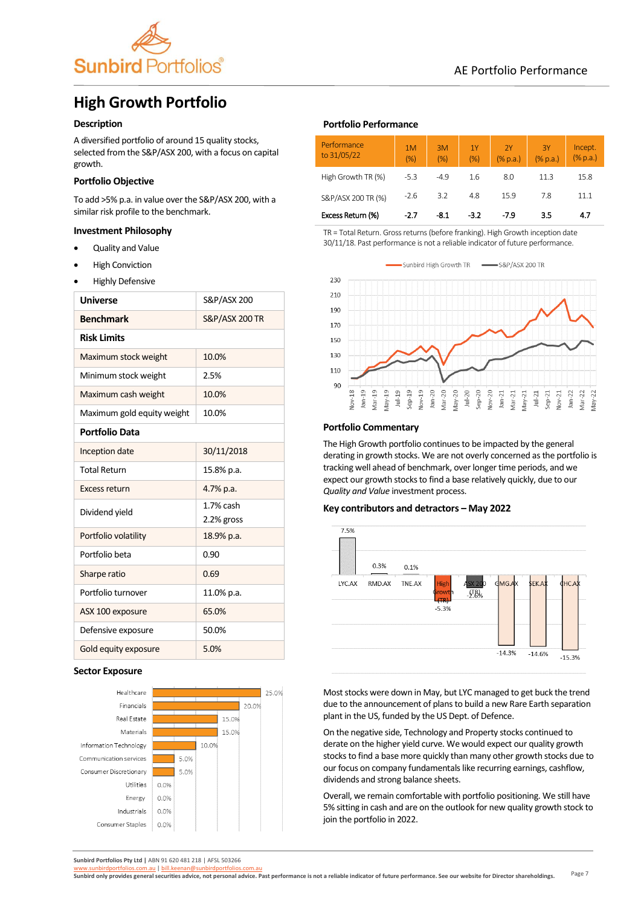

# **High Growth Portfolio**

# **Description**

A diversified portfolio of around 15 quality stocks, selected from the S&P/ASX 200, with a focus on capital growth.

# **Portfolio Objective**

To add >5% p.a. in value over the S&P/ASX 200, with a similar risk profile to the benchmark.

## **Investment Philosophy**

- Quality and Value
- **High Conviction**
- Highly Defensive

| <b>Universe</b>            | S&P/ASX 200               |  |  |
|----------------------------|---------------------------|--|--|
| <b>Benchmark</b>           | <b>S&amp;P/ASX 200 TR</b> |  |  |
| <b>Risk Limits</b>         |                           |  |  |
| Maximum stock weight       | 10.0%                     |  |  |
| Minimum stock weight       | 2.5%                      |  |  |
| Maximum cash weight        | 10.0%                     |  |  |
| Maximum gold equity weight | 10.0%                     |  |  |
| <b>Portfolio Data</b>      |                           |  |  |
| Inception date             | 30/11/2018                |  |  |
| <b>Total Return</b>        | 15.8% p.a.                |  |  |
| Excess return              | 4.7% p.a.                 |  |  |
| Dividend yield             | 1.7% cash                 |  |  |
|                            | 2.2% gross                |  |  |
| Portfolio volatility       | 18.9% p.a.                |  |  |
| Portfolio beta             | 0.90                      |  |  |
| Sharpe ratio               | 0.69                      |  |  |
| Portfolio turnover         | 11.0% p.a.                |  |  |
| ASX 100 exposure           | 65.0%                     |  |  |
| Defensive exposure         | 50.0%                     |  |  |
| Gold equity exposure       | 5.0%                      |  |  |

### **Sector Exposure**



## **Portfolio Performance**

| Performance<br>to 31/05/22 | 1M<br>(% ) | 3M<br>(% ) | 1Y<br>(% ) | 2Y<br>$(%$ $(%$ $)$ $($ $\%$ p.a.) | 3Y<br>$(\%$ p.a.) | Incept.<br>$(%$ $(%$ $)$ $($ $%$ $p.a.)$ |
|----------------------------|------------|------------|------------|------------------------------------|-------------------|------------------------------------------|
| High Growth TR (%)         | $-5.3$     | $-4.9$     | 1.6        | 8.0                                | 11.3              | 15.8                                     |
| S&P/ASX 200 TR (%)         | $-2.6$     | 3.2        | 4.8        | 15.9                               | 7.8               | 11.1                                     |
| Excess Return (%)          | $-2.7$     | $-8.1$     | $-3.2$     | $-7.9$                             | 3.5               | 4.7                                      |

TR = Total Return. Gross returns (before franking). High Growth inception date 30/11/18. Past performance is not a reliable indicator of future performance.



#### **Portfolio Commentary**

The High Growth portfolio continues to be impacted by the general derating in growth stocks. We are not overly concerned as the portfolio is tracking well ahead of benchmark, over longer time periods, and we expect our growth stocks to find a base relatively quickly, due to our *Quality and Value* investment process.

#### **Key contributors and detractors – May 2022**



Most stocks were down in May, but LYC managed to get buck the trend due to the announcement of plans to build a new Rare Earth separation plant in the US, funded by the US Dept. of Defence.

On the negative side, Technology and Property stocks continued to derate on the higher yield curve. We would expect our quality growth stocks to find a base more quickly than many other growth stocks due to our focus on company fundamentals like recurring earnings, cashflow, dividends and strong balance sheets.

Overall, we remain comfortable with portfolio positioning. We still have 5% sitting in cash and are on the outlook for new quality growth stock to join the portfolio in 2022.

**Sunbird Portfolios Pty Ltd |** ABN 91 620 481 218 | AFSL 503266

Page 7 [www.sunbirdportfolios.com.au](http://www.sunbirdportfolios.com.au/) | [bill.keenan@sunbirdportfolios.com.au](mailto:bill.keenan@sunbirdportfolios.com.au) **Sunbird only provides general securities advice, not personal advice. Past performance is not a reliable indicator of future performance. See our website for Director shareholdings.**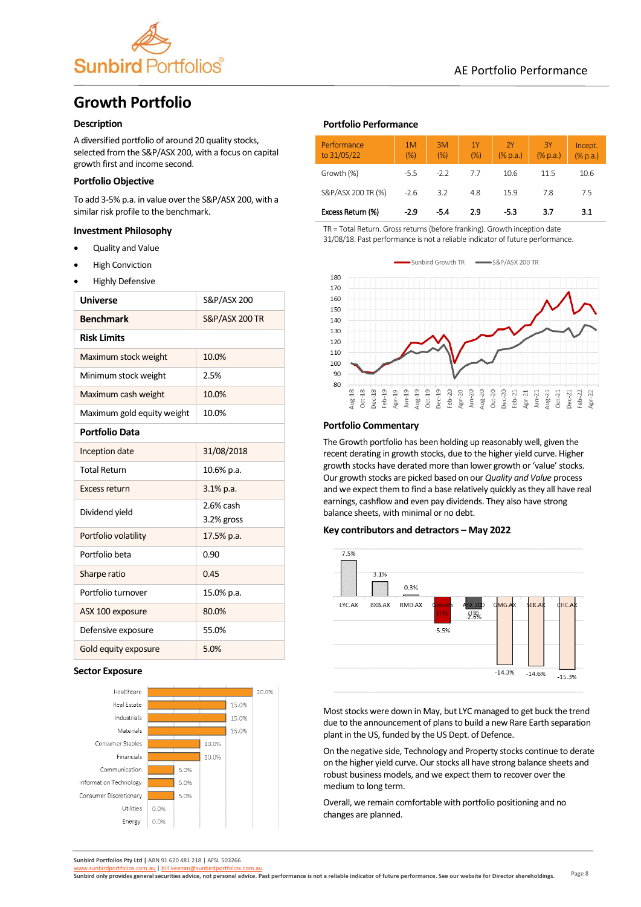

# AE Portfolio Performance

# **Growth Portfolio**

# **Description**

A diversified portfolio of around 20 quality stocks, selected from the S&P/ASX 200, with a focus on capital growth first and income second.

# **Portfolio Objective**

To add 3-5% p.a. in value over the S&P/ASX 200, with a similar risk profile to the benchmark.

## **Investment Philosophy**

- Quality and Value
- **High Conviction**
- Highly Defensive

| <b>Universe</b>            | S&P/ASX 200               |  |  |
|----------------------------|---------------------------|--|--|
| <b>Benchmark</b>           | <b>S&amp;P/ASX 200 TR</b> |  |  |
| <b>Risk Limits</b>         |                           |  |  |
| Maximum stock weight       | 10.0%                     |  |  |
| Minimum stock weight       | 2.5%                      |  |  |
| Maximum cash weight        | 10.0%                     |  |  |
| Maximum gold equity weight | 10.0%                     |  |  |
| <b>Portfolio Data</b>      |                           |  |  |
| Inception date             | 31/08/2018                |  |  |
| <b>Total Return</b>        | 10.6% p.a.                |  |  |
| Excess return              | $3.1\%$ p.a.              |  |  |
| Dividend yield             | 2.6% cash<br>3.2% gross   |  |  |
| Portfolio volatility       | 17.5% p.a.                |  |  |
| Portfolio beta             | 0.90                      |  |  |
| Sharpe ratio               | 0.45                      |  |  |
| Portfolio turnover         | 15.0% p.a.                |  |  |
| ASX 100 exposure           | 80.0%                     |  |  |
| Defensive exposure         | 55.0%                     |  |  |
| Gold equity exposure       | 5.0%                      |  |  |

### **Sector Exposure**



# **Portfolio Performance**

| Performance<br>to 31/05/22 | 1M<br>(% ) | 3M<br>(% ) | 1Y<br>(% ) | 2Y<br>(% p.a.) | 3Y<br>(% p.a.) | Incept.<br>(% p.a.) |
|----------------------------|------------|------------|------------|----------------|----------------|---------------------|
| Growth (%)                 | $-5.5$     | $-22$      | 77         | 10.6           | 11.5           | 10.6                |
| S&P/ASX 200 TR (%)         | $-2.6$     | 3.2        | 4.8        | 15.9           | 7.8            | 7.5                 |
| Excess Return (%)          | $-2.9$     | -5.4       | 2.9        | -5.3           | 3.7            | 3.1                 |

TR = Total Return. Gross returns (before franking). Growth inception date 31/08/18. Past performance is not a reliable indicator of future performance.

Sunbird Growth TR  $-SRP/ASX 200 TR$  $\overline{\phantom{a}}$ 



#### **Portfolio Commentary**

The Growth portfolio has been holding up reasonably well, given the recent derating in growth stocks, due to the higher yield curve. Higher growth stocks have derated more than lower growth or 'value' stocks. Our growth stocks are picked based on our *Quality and Value* process and we expect them to find a base relatively quickly as they all have real earnings, cashflow and even pay dividends. They also have strong balance sheets, with minimal or no debt.

#### **Key contributors and detractors – May 2022**



Most stocks were down in May, but LYC managed to get buck the trend due to the announcement of plans to build a new Rare Earth separation plant in the US, funded by the US Dept. of Defence.

On the negative side, Technology and Property stocks continue to derate on the higher yield curve. Our stocks all have strong balance sheets and robust business models, and we expect them to recover over the medium to long term.

Overall, we remain comfortable with portfolio positioning and no changes are planned.

**Sunbird Portfolios Pty Ltd |** ABN 91 620 481 218 | AFSL 503266

Page 8 [www.sunbirdportfolios.com.au](http://www.sunbirdportfolios.com.au/) | [bill.keenan@sunbirdportfolios.com.au](mailto:bill.keenan@sunbirdportfolios.com.au)<br>Sunbird only provides general securities advice, not personal advice. Past performance is not a reliable indicator of future performance. See our website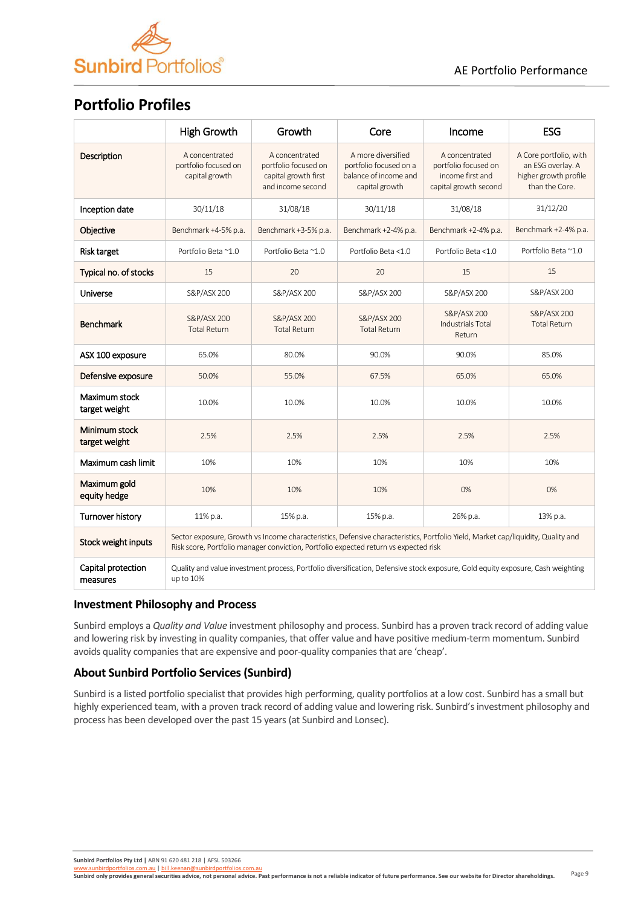

# **Portfolio Profiles**

|                                | <b>High Growth</b>                                                                                                                                                                                                       | Growth                                                                                                                          | Core                                                                                    | Income                                                                              | <b>ESG</b>                                                                             |  |  |  |  |
|--------------------------------|--------------------------------------------------------------------------------------------------------------------------------------------------------------------------------------------------------------------------|---------------------------------------------------------------------------------------------------------------------------------|-----------------------------------------------------------------------------------------|-------------------------------------------------------------------------------------|----------------------------------------------------------------------------------------|--|--|--|--|
| <b>Description</b>             | A concentrated<br>portfolio focused on<br>capital growth                                                                                                                                                                 | A concentrated<br>portfolio focused on<br>capital growth first<br>and income second                                             | A more diversified<br>portfolio focused on a<br>balance of income and<br>capital growth | A concentrated<br>portfolio focused on<br>income first and<br>capital growth second | A Core portfolio, with<br>an ESG overlay. A<br>higher growth profile<br>than the Core. |  |  |  |  |
| Inception date                 | 30/11/18                                                                                                                                                                                                                 | 31/08/18                                                                                                                        | 30/11/18                                                                                | 31/08/18                                                                            | 31/12/20                                                                               |  |  |  |  |
| Objective                      | Benchmark +4-5% p.a.                                                                                                                                                                                                     | Benchmark +3-5% p.a.                                                                                                            | Benchmark +2-4% p.a.                                                                    | Benchmark +2-4% p.a.                                                                | Benchmark +2-4% p.a.                                                                   |  |  |  |  |
| Risk target                    | Portfolio Beta ~1.0                                                                                                                                                                                                      | Portfolio Beta ~1.0                                                                                                             | Portfolio Beta <1.0                                                                     | Portfolio Beta <1.0                                                                 | Portfolio Beta ~1.0                                                                    |  |  |  |  |
| Typical no. of stocks          | 15                                                                                                                                                                                                                       | 20                                                                                                                              | 20                                                                                      | 15                                                                                  | 15                                                                                     |  |  |  |  |
| Universe                       | S&P/ASX 200                                                                                                                                                                                                              | S&P/ASX 200                                                                                                                     | S&P/ASX 200                                                                             | S&P/ASX 200                                                                         | S&P/ASX 200                                                                            |  |  |  |  |
| <b>Benchmark</b>               | S&P/ASX 200<br><b>Total Return</b>                                                                                                                                                                                       | S&P/ASX 200<br><b>Total Return</b>                                                                                              | S&P/ASX 200<br><b>Total Return</b>                                                      | S&P/ASX 200<br><b>Industrials Total</b><br>Return                                   | S&P/ASX 200<br><b>Total Return</b>                                                     |  |  |  |  |
| ASX 100 exposure               | 65.0%                                                                                                                                                                                                                    | 80.0%                                                                                                                           | 90.0%                                                                                   | 90.0%                                                                               | 85.0%                                                                                  |  |  |  |  |
| Defensive exposure             | 50.0%                                                                                                                                                                                                                    | 55.0%                                                                                                                           | 67.5%                                                                                   | 65.0%                                                                               | 65.0%                                                                                  |  |  |  |  |
| Maximum stock<br>target weight | 10.0%                                                                                                                                                                                                                    | 10.0%                                                                                                                           | 10.0%                                                                                   | 10.0%                                                                               | 10.0%                                                                                  |  |  |  |  |
| Minimum stock<br>target weight | 2.5%                                                                                                                                                                                                                     | 2.5%                                                                                                                            | 2.5%                                                                                    | 2.5%                                                                                | 2.5%                                                                                   |  |  |  |  |
| Maximum cash limit             | 10%                                                                                                                                                                                                                      | 10%                                                                                                                             | 10%                                                                                     | 10%                                                                                 | 10%                                                                                    |  |  |  |  |
| Maximum gold<br>equity hedge   | 10%                                                                                                                                                                                                                      | 10%                                                                                                                             | 10%                                                                                     | 0%                                                                                  | 0%                                                                                     |  |  |  |  |
| Turnover history               | 11% p.a.                                                                                                                                                                                                                 | 15% p.a.                                                                                                                        | 15% p.a.                                                                                | 26% p.a.                                                                            | 13% p.a.                                                                               |  |  |  |  |
| Stock weight inputs            | Sector exposure, Growth vs Income characteristics, Defensive characteristics, Portfolio Yield, Market cap/liquidity, Quality and<br>Risk score, Portfolio manager conviction, Portfolio expected return vs expected risk |                                                                                                                                 |                                                                                         |                                                                                     |                                                                                        |  |  |  |  |
| Capital protection<br>measures | up to 10%                                                                                                                                                                                                                | Quality and value investment process, Portfolio diversification, Defensive stock exposure, Gold equity exposure, Cash weighting |                                                                                         |                                                                                     |                                                                                        |  |  |  |  |

# **Investment Philosophy and Process**

Sunbird employs a *Quality and Value* investment philosophy and process. Sunbird has a proven track record of adding value and lowering risk by investing in quality companies, that offer value and have positive medium-term momentum. Sunbird avoids quality companies that are expensive and poor-quality companies that are 'cheap'.

# **About Sunbird Portfolio Services (Sunbird)**

Sunbird is a listed portfolio specialist that provides high performing, quality portfolios at a low cost. Sunbird has a small but highly experienced team, with a proven track record of adding value and lowering risk. Sunbird's investment philosophy and process has been developed over the past 15 years (at Sunbird and Lonsec).

**Sunbird Portfolios Pty Ltd |** ABN 91 620 481 218 | AFSL 503266